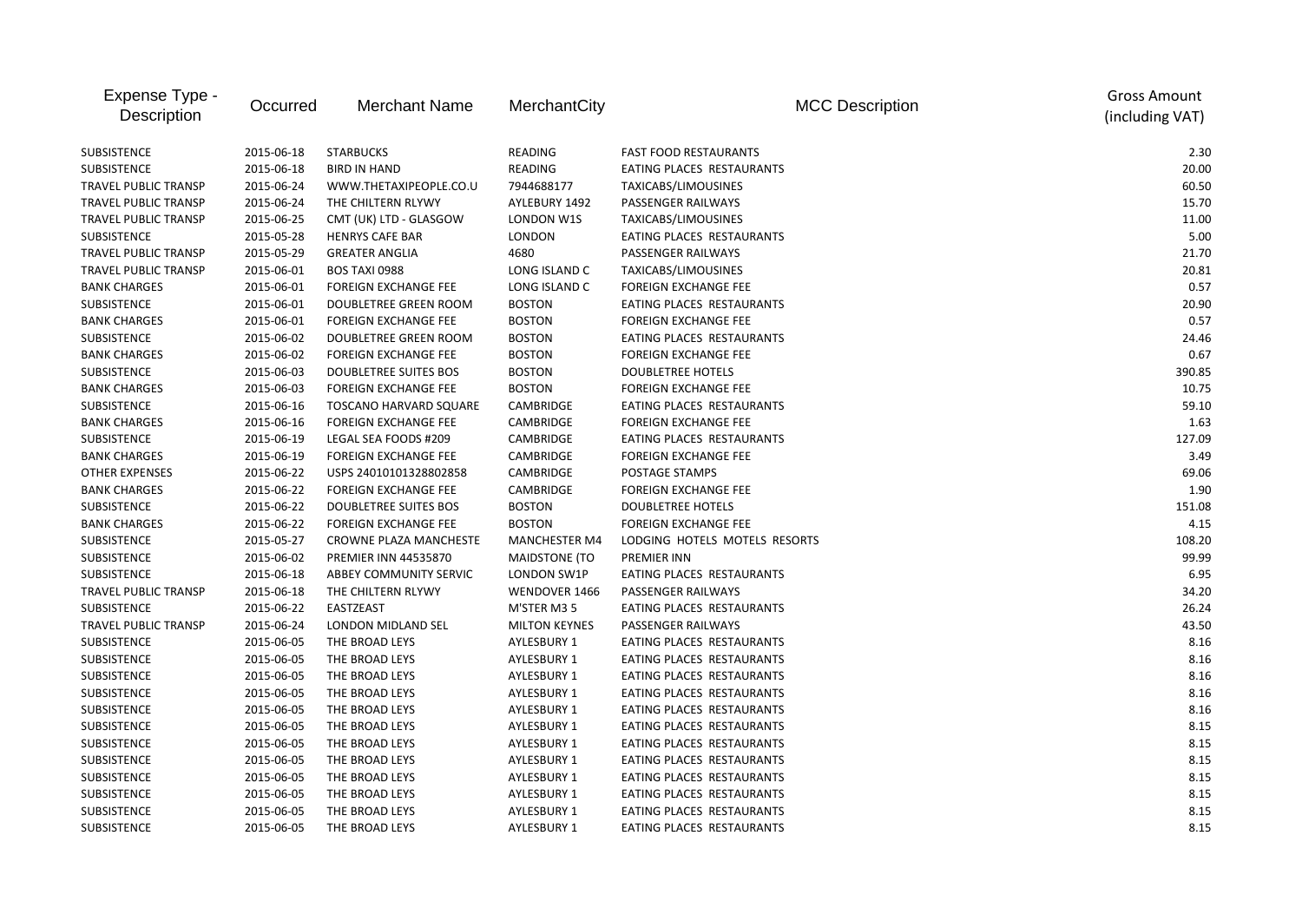| Expense Type -<br>Description | Occurred   | <b>Merchant Name</b>          | MerchantCity         | <b>MCC Description</b>        | <b>Gross Amount</b><br>(including VAT) |
|-------------------------------|------------|-------------------------------|----------------------|-------------------------------|----------------------------------------|
| SUBSISTENCE                   | 2015-06-18 | <b>STARBUCKS</b>              | <b>READING</b>       | <b>FAST FOOD RESTAURANTS</b>  | 2.30                                   |
| SUBSISTENCE                   | 2015-06-18 | <b>BIRD IN HAND</b>           | READING              | EATING PLACES RESTAURANTS     | 20.00                                  |
| TRAVEL PUBLIC TRANSP          | 2015-06-24 | WWW.THETAXIPEOPLE.CO.U        | 7944688177           | TAXICABS/LIMOUSINES           | 60.50                                  |
| TRAVEL PUBLIC TRANSP          | 2015-06-24 | THE CHILTERN RLYWY            | AYLEBURY 1492        | PASSENGER RAILWAYS            | 15.70                                  |
| TRAVEL PUBLIC TRANSP          | 2015-06-25 | CMT (UK) LTD - GLASGOW        | LONDON W1S           | TAXICABS/LIMOUSINES           | 11.00                                  |
| SUBSISTENCE                   | 2015-05-28 | <b>HENRYS CAFE BAR</b>        | <b>LONDON</b>        | EATING PLACES RESTAURANTS     | 5.00                                   |
| TRAVEL PUBLIC TRANSP          | 2015-05-29 | <b>GREATER ANGLIA</b>         | 4680                 | PASSENGER RAILWAYS            | 21.70                                  |
| TRAVEL PUBLIC TRANSP          | 2015-06-01 | <b>BOS TAXI 0988</b>          | LONG ISLAND C        | TAXICABS/LIMOUSINES           | 20.81                                  |
| <b>BANK CHARGES</b>           | 2015-06-01 | <b>FOREIGN EXCHANGE FEE</b>   | LONG ISLAND C        | <b>FOREIGN EXCHANGE FEE</b>   | 0.57                                   |
| <b>SUBSISTENCE</b>            | 2015-06-01 | DOUBLETREE GREEN ROOM         | <b>BOSTON</b>        | EATING PLACES RESTAURANTS     | 20.90                                  |
| <b>BANK CHARGES</b>           | 2015-06-01 | <b>FOREIGN EXCHANGE FEE</b>   | <b>BOSTON</b>        | <b>FOREIGN EXCHANGE FEE</b>   | 0.57                                   |
| <b>SUBSISTENCE</b>            | 2015-06-02 | DOUBLETREE GREEN ROOM         | <b>BOSTON</b>        | EATING PLACES RESTAURANTS     | 24.46                                  |
| <b>BANK CHARGES</b>           | 2015-06-02 | <b>FOREIGN EXCHANGE FEE</b>   | <b>BOSTON</b>        | <b>FOREIGN EXCHANGE FEE</b>   | 0.67                                   |
| SUBSISTENCE                   | 2015-06-03 | DOUBLETREE SUITES BOS         | <b>BOSTON</b>        | <b>DOUBLETREE HOTELS</b>      | 390.85                                 |
| <b>BANK CHARGES</b>           | 2015-06-03 | <b>FOREIGN EXCHANGE FEE</b>   | <b>BOSTON</b>        | <b>FOREIGN EXCHANGE FEE</b>   | 10.75                                  |
| <b>SUBSISTENCE</b>            | 2015-06-16 | <b>TOSCANO HARVARD SQUARE</b> | CAMBRIDGE            | EATING PLACES RESTAURANTS     | 59.10                                  |
| <b>BANK CHARGES</b>           | 2015-06-16 | <b>FOREIGN EXCHANGE FEE</b>   | CAMBRIDGE            | <b>FOREIGN EXCHANGE FEE</b>   | 1.63                                   |
| SUBSISTENCE                   | 2015-06-19 | LEGAL SEA FOODS #209          | CAMBRIDGE            | EATING PLACES RESTAURANTS     | 127.09                                 |
| <b>BANK CHARGES</b>           | 2015-06-19 | <b>FOREIGN EXCHANGE FEE</b>   | <b>CAMBRIDGE</b>     | <b>FOREIGN EXCHANGE FEE</b>   | 3.49                                   |
| <b>OTHER EXPENSES</b>         | 2015-06-22 | USPS 24010101328802858        | <b>CAMBRIDGE</b>     | POSTAGE STAMPS                | 69.06                                  |
| <b>BANK CHARGES</b>           | 2015-06-22 | <b>FOREIGN EXCHANGE FEE</b>   | CAMBRIDGE            | <b>FOREIGN EXCHANGE FEE</b>   | 1.90                                   |
| SUBSISTENCE                   | 2015-06-22 | <b>DOUBLETREE SUITES BOS</b>  | <b>BOSTON</b>        | <b>DOUBLETREE HOTELS</b>      | 151.08                                 |
| <b>BANK CHARGES</b>           | 2015-06-22 | <b>FOREIGN EXCHANGE FEE</b>   | <b>BOSTON</b>        | <b>FOREIGN EXCHANGE FEE</b>   | 4.15                                   |
| SUBSISTENCE                   | 2015-05-27 | CROWNE PLAZA MANCHESTE        | <b>MANCHESTER M4</b> | LODGING HOTELS MOTELS RESORTS | 108.20                                 |
| SUBSISTENCE                   | 2015-06-02 | PREMIER INN 44535870          | <b>MAIDSTONE (TO</b> | <b>PREMIER INN</b>            | 99.99                                  |
| SUBSISTENCE                   | 2015-06-18 | ABBEY COMMUNITY SERVIC        | LONDON SW1P          | EATING PLACES RESTAURANTS     | 6.95                                   |
| TRAVEL PUBLIC TRANSP          | 2015-06-18 | THE CHILTERN RLYWY            | WENDOVER 1466        | PASSENGER RAILWAYS            | 34.20                                  |
| SUBSISTENCE                   | 2015-06-22 | EASTZEAST                     | M'STER M3 5          | EATING PLACES RESTAURANTS     | 26.24                                  |
| <b>TRAVEL PUBLIC TRANSP</b>   | 2015-06-24 | LONDON MIDLAND SEL            | <b>MILTON KEYNES</b> | PASSENGER RAILWAYS            | 43.50                                  |
| SUBSISTENCE                   | 2015-06-05 | THE BROAD LEYS                | <b>AYLESBURY 1</b>   | EATING PLACES RESTAURANTS     | 8.16                                   |
| SUBSISTENCE                   | 2015-06-05 | THE BROAD LEYS                | AYLESBURY 1          | EATING PLACES RESTAURANTS     | 8.16                                   |
| <b>SUBSISTENCE</b>            | 2015-06-05 | THE BROAD LEYS                | <b>AYLESBURY 1</b>   | EATING PLACES RESTAURANTS     | 8.16                                   |
| SUBSISTENCE                   | 2015-06-05 | THE BROAD LEYS                | <b>AYLESBURY 1</b>   | EATING PLACES RESTAURANTS     | 8.16                                   |
| SUBSISTENCE                   | 2015-06-05 | THE BROAD LEYS                | AYLESBURY 1          | EATING PLACES RESTAURANTS     | 8.16                                   |
| SUBSISTENCE                   | 2015-06-05 | THE BROAD LEYS                | AYLESBURY 1          | EATING PLACES RESTAURANTS     | 8.15                                   |
| SUBSISTENCE                   | 2015-06-05 | THE BROAD LEYS                | AYLESBURY 1          | EATING PLACES RESTAURANTS     | 8.15                                   |
| SUBSISTENCE                   | 2015-06-05 | THE BROAD LEYS                | AYLESBURY 1          | EATING PLACES RESTAURANTS     | 8.15                                   |
| SUBSISTENCE                   | 2015-06-05 | THE BROAD LEYS                | AYLESBURY 1          | EATING PLACES RESTAURANTS     | 8.15                                   |
| SUBSISTENCE                   | 2015-06-05 | THE BROAD LEYS                | AYLESBURY 1          | EATING PLACES RESTAURANTS     | 8.15                                   |
| SUBSISTENCE                   | 2015-06-05 | THE BROAD LEYS                | <b>AYLESBURY 1</b>   | EATING PLACES RESTAURANTS     | 8.15                                   |
| SUBSISTENCE                   | 2015-06-05 | THE BROAD LEYS                | <b>AYLESBURY 1</b>   | EATING PLACES RESTAURANTS     | 8.15                                   |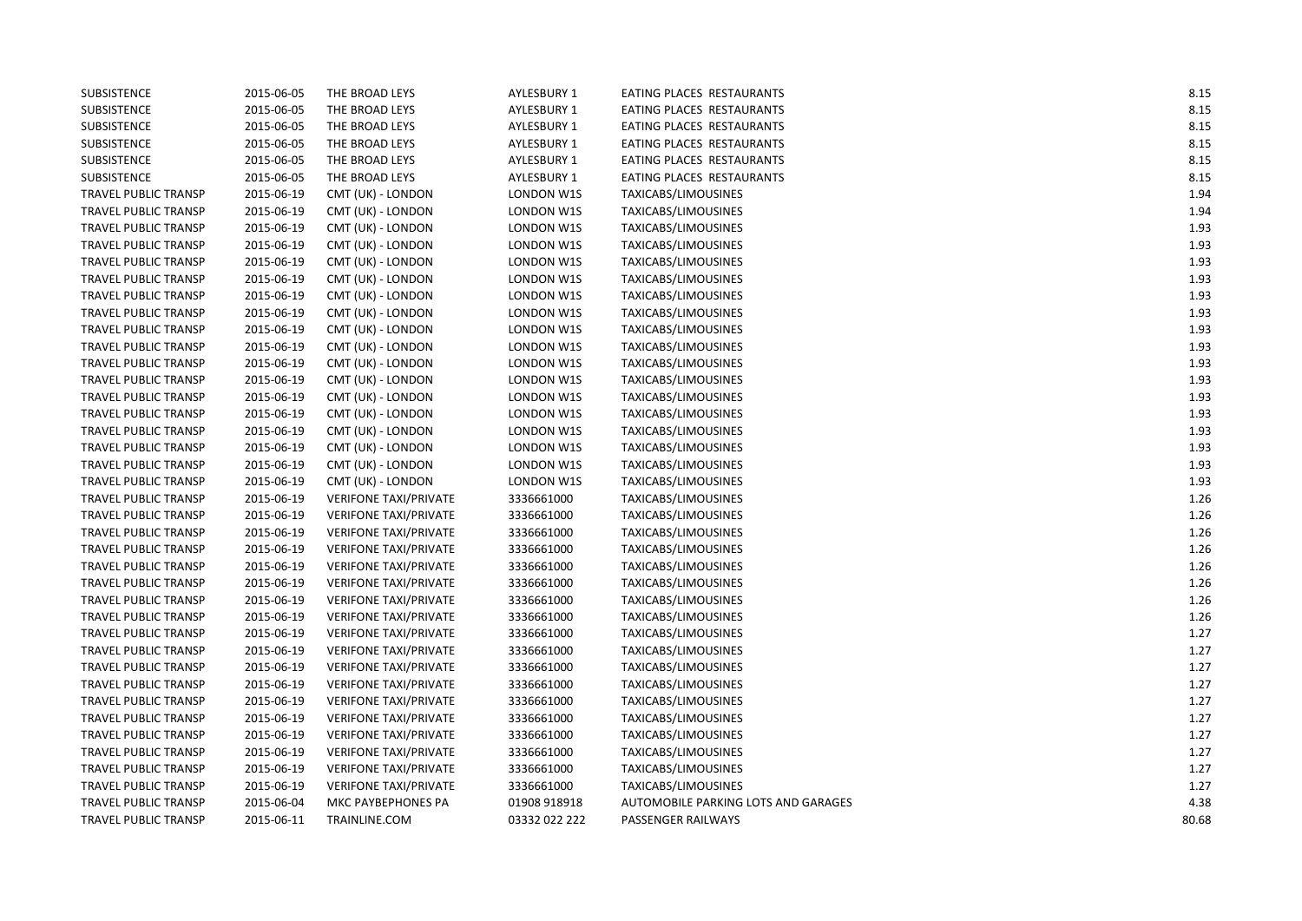| SUBSISTENCE                 | 2015-06-05 | THE BROAD LEYS               | AYLESBURY 1   | EATING PLACES RESTAURANTS           | 8.15  |
|-----------------------------|------------|------------------------------|---------------|-------------------------------------|-------|
| SUBSISTENCE                 | 2015-06-05 | THE BROAD LEYS               | AYLESBURY 1   | EATING PLACES RESTAURANTS           | 8.15  |
| SUBSISTENCE                 | 2015-06-05 | THE BROAD LEYS               | AYLESBURY 1   | EATING PLACES RESTAURANTS           | 8.15  |
| SUBSISTENCE                 | 2015-06-05 | THE BROAD LEYS               | AYLESBURY 1   | EATING PLACES RESTAURANTS           | 8.15  |
| <b>SUBSISTENCE</b>          | 2015-06-05 | THE BROAD LEYS               | AYLESBURY 1   | EATING PLACES RESTAURANTS           | 8.15  |
| SUBSISTENCE                 | 2015-06-05 | THE BROAD LEYS               | AYLESBURY 1   | EATING PLACES RESTAURANTS           | 8.15  |
| TRAVEL PUBLIC TRANSP        | 2015-06-19 | CMT (UK) - LONDON            | LONDON W1S    | TAXICABS/LIMOUSINES                 | 1.94  |
| TRAVEL PUBLIC TRANSP        | 2015-06-19 | CMT (UK) - LONDON            | LONDON W1S    | TAXICABS/LIMOUSINES                 | 1.94  |
| TRAVEL PUBLIC TRANSP        | 2015-06-19 | CMT (UK) - LONDON            | LONDON W1S    | TAXICABS/LIMOUSINES                 | 1.93  |
| TRAVEL PUBLIC TRANSP        | 2015-06-19 | CMT (UK) - LONDON            | LONDON W1S    | TAXICABS/LIMOUSINES                 | 1.93  |
| TRAVEL PUBLIC TRANSP        | 2015-06-19 | CMT (UK) - LONDON            | LONDON W1S    | TAXICABS/LIMOUSINES                 | 1.93  |
| TRAVEL PUBLIC TRANSP        | 2015-06-19 | CMT (UK) - LONDON            | LONDON W1S    | TAXICABS/LIMOUSINES                 | 1.93  |
| TRAVEL PUBLIC TRANSP        | 2015-06-19 | CMT (UK) - LONDON            | LONDON W1S    | TAXICABS/LIMOUSINES                 | 1.93  |
| TRAVEL PUBLIC TRANSP        | 2015-06-19 | CMT (UK) - LONDON            | LONDON W1S    | TAXICABS/LIMOUSINES                 | 1.93  |
| TRAVEL PUBLIC TRANSP        | 2015-06-19 | CMT (UK) - LONDON            | LONDON W1S    | TAXICABS/LIMOUSINES                 | 1.93  |
| TRAVEL PUBLIC TRANSP        | 2015-06-19 | CMT (UK) - LONDON            | LONDON W1S    | TAXICABS/LIMOUSINES                 | 1.93  |
| TRAVEL PUBLIC TRANSP        | 2015-06-19 | CMT (UK) - LONDON            | LONDON W1S    | TAXICABS/LIMOUSINES                 | 1.93  |
| TRAVEL PUBLIC TRANSP        | 2015-06-19 | CMT (UK) - LONDON            | LONDON W1S    | TAXICABS/LIMOUSINES                 | 1.93  |
| TRAVEL PUBLIC TRANSP        | 2015-06-19 | CMT (UK) - LONDON            | LONDON W1S    | TAXICABS/LIMOUSINES                 | 1.93  |
| TRAVEL PUBLIC TRANSP        | 2015-06-19 | CMT (UK) - LONDON            | LONDON W1S    | TAXICABS/LIMOUSINES                 | 1.93  |
| TRAVEL PUBLIC TRANSP        | 2015-06-19 | CMT (UK) - LONDON            | LONDON W1S    | TAXICABS/LIMOUSINES                 | 1.93  |
| TRAVEL PUBLIC TRANSP        | 2015-06-19 | CMT (UK) - LONDON            | LONDON W1S    | TAXICABS/LIMOUSINES                 | 1.93  |
| TRAVEL PUBLIC TRANSP        | 2015-06-19 | CMT (UK) - LONDON            | LONDON W1S    | TAXICABS/LIMOUSINES                 | 1.93  |
| TRAVEL PUBLIC TRANSP        | 2015-06-19 | CMT (UK) - LONDON            | LONDON W1S    | TAXICABS/LIMOUSINES                 | 1.93  |
| TRAVEL PUBLIC TRANSP        | 2015-06-19 | <b>VERIFONE TAXI/PRIVATE</b> | 3336661000    | TAXICABS/LIMOUSINES                 | 1.26  |
| TRAVEL PUBLIC TRANSP        | 2015-06-19 | <b>VERIFONE TAXI/PRIVATE</b> | 3336661000    | TAXICABS/LIMOUSINES                 | 1.26  |
| TRAVEL PUBLIC TRANSP        | 2015-06-19 | <b>VERIFONE TAXI/PRIVATE</b> | 3336661000    | TAXICABS/LIMOUSINES                 | 1.26  |
| TRAVEL PUBLIC TRANSP        | 2015-06-19 | <b>VERIFONE TAXI/PRIVATE</b> | 3336661000    | TAXICABS/LIMOUSINES                 | 1.26  |
| TRAVEL PUBLIC TRANSP        | 2015-06-19 | <b>VERIFONE TAXI/PRIVATE</b> | 3336661000    | TAXICABS/LIMOUSINES                 | 1.26  |
| TRAVEL PUBLIC TRANSP        | 2015-06-19 | <b>VERIFONE TAXI/PRIVATE</b> | 3336661000    | TAXICABS/LIMOUSINES                 | 1.26  |
| <b>TRAVEL PUBLIC TRANSP</b> | 2015-06-19 | <b>VERIFONE TAXI/PRIVATE</b> | 3336661000    | TAXICABS/LIMOUSINES                 | 1.26  |
| TRAVEL PUBLIC TRANSP        | 2015-06-19 | <b>VERIFONE TAXI/PRIVATE</b> | 3336661000    | TAXICABS/LIMOUSINES                 | 1.26  |
| TRAVEL PUBLIC TRANSP        | 2015-06-19 | <b>VERIFONE TAXI/PRIVATE</b> | 3336661000    | TAXICABS/LIMOUSINES                 | 1.27  |
| TRAVEL PUBLIC TRANSP        | 2015-06-19 | <b>VERIFONE TAXI/PRIVATE</b> | 3336661000    | TAXICABS/LIMOUSINES                 | 1.27  |
| TRAVEL PUBLIC TRANSP        | 2015-06-19 | <b>VERIFONE TAXI/PRIVATE</b> | 3336661000    | TAXICABS/LIMOUSINES                 | 1.27  |
| TRAVEL PUBLIC TRANSP        | 2015-06-19 | <b>VERIFONE TAXI/PRIVATE</b> | 3336661000    | TAXICABS/LIMOUSINES                 | 1.27  |
| TRAVEL PUBLIC TRANSP        | 2015-06-19 | <b>VERIFONE TAXI/PRIVATE</b> | 3336661000    | TAXICABS/LIMOUSINES                 | 1.27  |
| <b>TRAVEL PUBLIC TRANSP</b> | 2015-06-19 | <b>VERIFONE TAXI/PRIVATE</b> | 3336661000    | TAXICABS/LIMOUSINES                 | 1.27  |
| TRAVEL PUBLIC TRANSP        | 2015-06-19 | <b>VERIFONE TAXI/PRIVATE</b> | 3336661000    | TAXICABS/LIMOUSINES                 | 1.27  |
| TRAVEL PUBLIC TRANSP        | 2015-06-19 | <b>VERIFONE TAXI/PRIVATE</b> | 3336661000    | TAXICABS/LIMOUSINES                 | 1.27  |
| TRAVEL PUBLIC TRANSP        | 2015-06-19 | <b>VERIFONE TAXI/PRIVATE</b> | 3336661000    | TAXICABS/LIMOUSINES                 | 1.27  |
| TRAVEL PUBLIC TRANSP        | 2015-06-19 | <b>VERIFONE TAXI/PRIVATE</b> | 3336661000    | TAXICABS/LIMOUSINES                 | 1.27  |
| TRAVEL PUBLIC TRANSP        | 2015-06-04 | MKC PAYBEPHONES PA           | 01908 918918  | AUTOMOBILE PARKING LOTS AND GARAGES | 4.38  |
| <b>TRAVEL PUBLIC TRANSP</b> | 2015-06-11 | TRAINLINE.COM                | 03332 022 222 | PASSENGER RAILWAYS                  | 80.68 |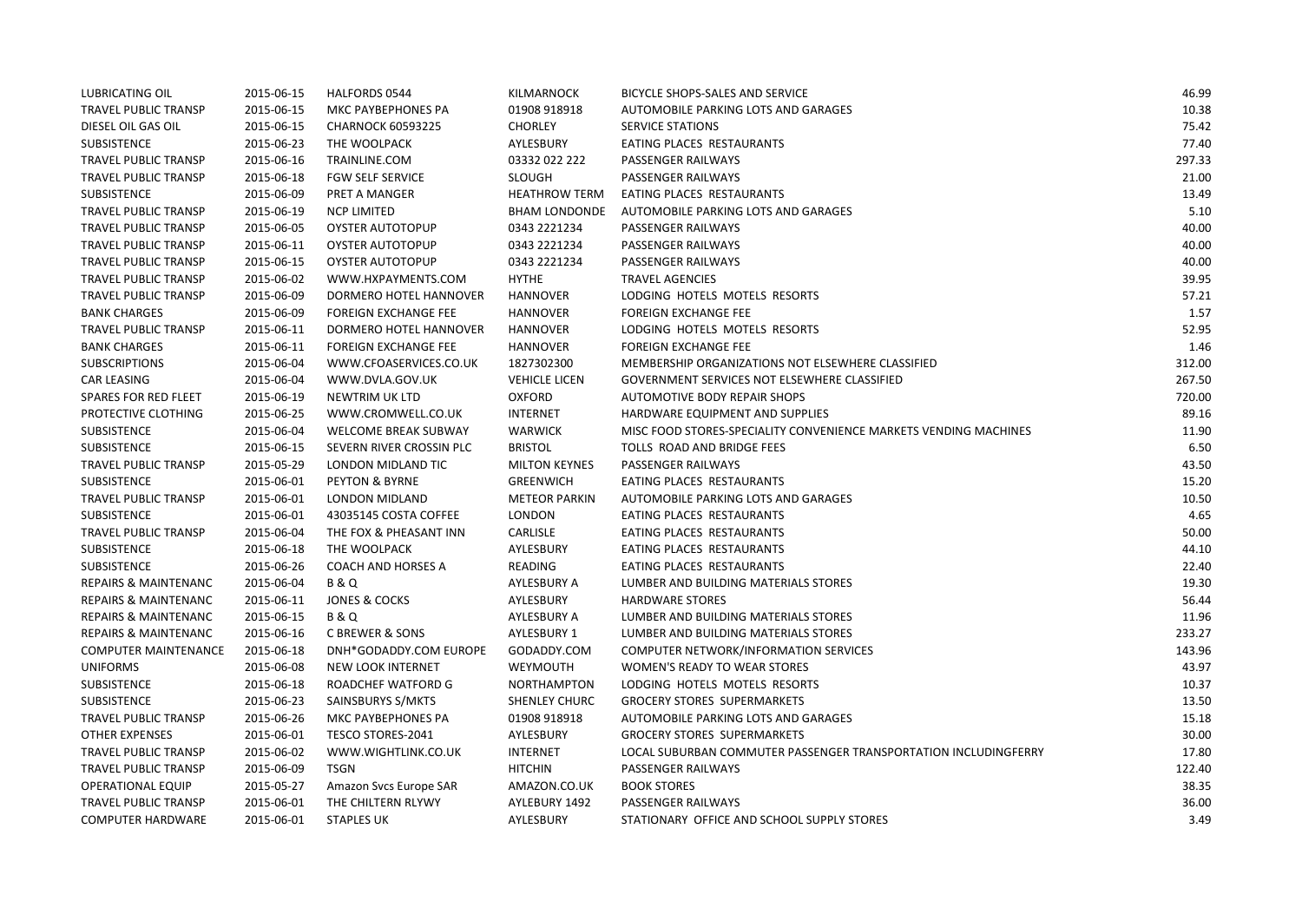| <b>LUBRICATING OIL</b>          | 2015-06-15 | HALFORDS 0544               | <b>KILMARNOCK</b>    | BICYCLE SHOPS-SALES AND SERVICE                                  | 46.99  |
|---------------------------------|------------|-----------------------------|----------------------|------------------------------------------------------------------|--------|
| <b>TRAVEL PUBLIC TRANSP</b>     | 2015-06-15 | MKC PAYBEPHONES PA          | 01908 918918         | AUTOMOBILE PARKING LOTS AND GARAGES                              | 10.38  |
| DIESEL OIL GAS OIL              | 2015-06-15 | <b>CHARNOCK 60593225</b>    | <b>CHORLEY</b>       | SERVICE STATIONS                                                 | 75.42  |
| <b>SUBSISTENCE</b>              | 2015-06-23 | THE WOOLPACK                | AYLESBURY            | EATING PLACES RESTAURANTS                                        | 77.40  |
| <b>TRAVEL PUBLIC TRANSP</b>     | 2015-06-16 | TRAINLINE.COM               | 03332 022 222        | PASSENGER RAILWAYS                                               | 297.33 |
| TRAVEL PUBLIC TRANSP            | 2015-06-18 | <b>FGW SELF SERVICE</b>     | <b>SLOUGH</b>        | PASSENGER RAILWAYS                                               | 21.00  |
| SUBSISTENCE                     | 2015-06-09 | PRET A MANGER               | <b>HEATHROW TERM</b> | EATING PLACES RESTAURANTS                                        | 13.49  |
| <b>TRAVEL PUBLIC TRANSP</b>     | 2015-06-19 | <b>NCP LIMITED</b>          | <b>BHAM LONDONDE</b> | AUTOMOBILE PARKING LOTS AND GARAGES                              | 5.10   |
| <b>TRAVEL PUBLIC TRANSP</b>     | 2015-06-05 | <b>OYSTER AUTOTOPUP</b>     | 0343 2221234         | PASSENGER RAILWAYS                                               | 40.00  |
| <b>TRAVEL PUBLIC TRANSP</b>     | 2015-06-11 | <b>OYSTER AUTOTOPUP</b>     | 0343 2221234         | PASSENGER RAILWAYS                                               | 40.00  |
| TRAVEL PUBLIC TRANSP            | 2015-06-15 | OYSTER AUTOTOPUP            | 0343 2221234         | PASSENGER RAILWAYS                                               | 40.00  |
| TRAVEL PUBLIC TRANSP            | 2015-06-02 | WWW.HXPAYMENTS.COM          | <b>HYTHE</b>         | <b>TRAVEL AGENCIES</b>                                           | 39.95  |
| <b>TRAVEL PUBLIC TRANSP</b>     | 2015-06-09 | DORMERO HOTEL HANNOVER      | <b>HANNOVER</b>      | LODGING HOTELS MOTELS RESORTS                                    | 57.21  |
| <b>BANK CHARGES</b>             | 2015-06-09 | <b>FOREIGN EXCHANGE FEE</b> | <b>HANNOVER</b>      | <b>FOREIGN EXCHANGE FEE</b>                                      | 1.57   |
| <b>TRAVEL PUBLIC TRANSP</b>     | 2015-06-11 | DORMERO HOTEL HANNOVER      | <b>HANNOVER</b>      | LODGING HOTELS MOTELS RESORTS                                    | 52.95  |
| <b>BANK CHARGES</b>             | 2015-06-11 | <b>FOREIGN EXCHANGE FEE</b> | <b>HANNOVER</b>      | <b>FOREIGN EXCHANGE FEE</b>                                      | 1.46   |
| <b>SUBSCRIPTIONS</b>            | 2015-06-04 | WWW.CFOASERVICES.CO.UK      | 1827302300           | MEMBERSHIP ORGANIZATIONS NOT ELSEWHERE CLASSIFIED                | 312.00 |
| <b>CAR LEASING</b>              | 2015-06-04 | WWW.DVLA.GOV.UK             | <b>VEHICLE LICEN</b> | GOVERNMENT SERVICES NOT ELSEWHERE CLASSIFIED                     | 267.50 |
| SPARES FOR RED FLEET            | 2015-06-19 | NEWTRIM UK LTD              | <b>OXFORD</b>        | AUTOMOTIVE BODY REPAIR SHOPS                                     | 720.00 |
| PROTECTIVE CLOTHING             | 2015-06-25 | WWW.CROMWELL.CO.UK          | <b>INTERNET</b>      | HARDWARE EQUIPMENT AND SUPPLIES                                  | 89.16  |
| SUBSISTENCE                     | 2015-06-04 | <b>WELCOME BREAK SUBWAY</b> | <b>WARWICK</b>       | MISC FOOD STORES-SPECIALITY CONVENIENCE MARKETS VENDING MACHINES | 11.90  |
| SUBSISTENCE                     | 2015-06-15 | SEVERN RIVER CROSSIN PLC    | <b>BRISTOL</b>       | TOLLS ROAD AND BRIDGE FEES                                       | 6.50   |
| <b>TRAVEL PUBLIC TRANSP</b>     | 2015-05-29 | LONDON MIDLAND TIC          | <b>MILTON KEYNES</b> | PASSENGER RAILWAYS                                               | 43.50  |
| SUBSISTENCE                     | 2015-06-01 | PEYTON & BYRNE              | <b>GREENWICH</b>     | EATING PLACES RESTAURANTS                                        | 15.20  |
| TRAVEL PUBLIC TRANSP            | 2015-06-01 | LONDON MIDLAND              | <b>METEOR PARKIN</b> | AUTOMOBILE PARKING LOTS AND GARAGES                              | 10.50  |
| <b>SUBSISTENCE</b>              | 2015-06-01 | 43035145 COSTA COFFEE       | <b>LONDON</b>        | EATING PLACES RESTAURANTS                                        | 4.65   |
| TRAVEL PUBLIC TRANSP            | 2015-06-04 | THE FOX & PHEASANT INN      | <b>CARLISLE</b>      | EATING PLACES RESTAURANTS                                        | 50.00  |
| <b>SUBSISTENCE</b>              | 2015-06-18 | THE WOOLPACK                | AYLESBURY            | EATING PLACES RESTAURANTS                                        | 44.10  |
| <b>SUBSISTENCE</b>              | 2015-06-26 | <b>COACH AND HORSES A</b>   | READING              | EATING PLACES RESTAURANTS                                        | 22.40  |
| <b>REPAIRS &amp; MAINTENANC</b> | 2015-06-04 | <b>B&amp;Q</b>              | AYLESBURY A          | LUMBER AND BUILDING MATERIALS STORES                             | 19.30  |
| <b>REPAIRS &amp; MAINTENANC</b> | 2015-06-11 | <b>JONES &amp; COCKS</b>    | AYLESBURY            | <b>HARDWARE STORES</b>                                           | 56.44  |
| <b>REPAIRS &amp; MAINTENANC</b> | 2015-06-15 | <b>B&amp;Q</b>              | AYLESBURY A          | LUMBER AND BUILDING MATERIALS STORES                             | 11.96  |
| <b>REPAIRS &amp; MAINTENANC</b> | 2015-06-16 | C BREWER & SONS             | AYLESBURY 1          | LUMBER AND BUILDING MATERIALS STORES                             | 233.27 |
| <b>COMPUTER MAINTENANCE</b>     | 2015-06-18 | DNH*GODADDY.COM EUROPE      | GODADDY.COM          | COMPUTER NETWORK/INFORMATION SERVICES                            | 143.96 |
| <b>UNIFORMS</b>                 | 2015-06-08 | <b>NEW LOOK INTERNET</b>    | WEYMOUTH             | <b>WOMEN'S READY TO WEAR STORES</b>                              | 43.97  |
| <b>SUBSISTENCE</b>              | 2015-06-18 | ROADCHEF WATFORD G          | <b>NORTHAMPTON</b>   | LODGING HOTELS MOTELS RESORTS                                    | 10.37  |
| SUBSISTENCE                     | 2015-06-23 | SAINSBURYS S/MKTS           | <b>SHENLEY CHURC</b> | <b>GROCERY STORES SUPERMARKETS</b>                               | 13.50  |
| TRAVEL PUBLIC TRANSP            | 2015-06-26 | MKC PAYBEPHONES PA          | 01908 918918         | AUTOMOBILE PARKING LOTS AND GARAGES                              | 15.18  |
| <b>OTHER EXPENSES</b>           | 2015-06-01 | <b>TESCO STORES-2041</b>    | AYLESBURY            | <b>GROCERY STORES SUPERMARKETS</b>                               | 30.00  |
| TRAVEL PUBLIC TRANSP            | 2015-06-02 | WWW.WIGHTLINK.CO.UK         | <b>INTERNET</b>      | LOCAL SUBURBAN COMMUTER PASSENGER TRANSPORTATION INCLUDINGFERRY  | 17.80  |
| TRAVEL PUBLIC TRANSP            | 2015-06-09 | TSGN                        | <b>HITCHIN</b>       | PASSENGER RAILWAYS                                               | 122.40 |
| <b>OPERATIONAL EQUIP</b>        | 2015-05-27 | Amazon Svcs Europe SAR      | AMAZON.CO.UK         | <b>BOOK STORES</b>                                               | 38.35  |
| <b>TRAVEL PUBLIC TRANSP</b>     | 2015-06-01 | THE CHILTERN RLYWY          | AYLEBURY 1492        | PASSENGER RAILWAYS                                               | 36.00  |
| <b>COMPUTER HARDWARE</b>        | 2015-06-01 | <b>STAPLES UK</b>           | AYLESBURY            | STATIONARY OFFICE AND SCHOOL SUPPLY STORES                       | 3.49   |